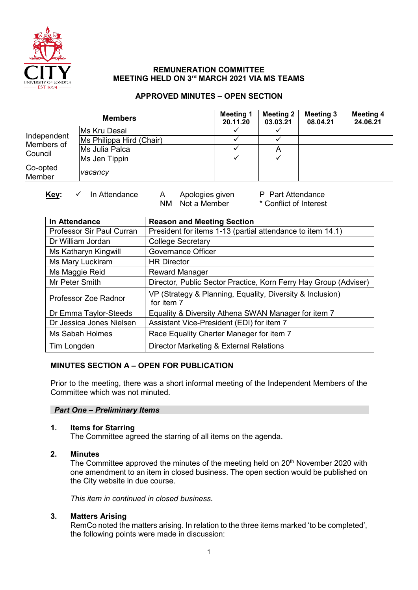

# **REMUNERATION COMMITTEE MEETING HELD ON 3rd MARCH 2021 VIA MS TEAMS**

# **APPROVED MINUTES – OPEN SECTION**

| <b>Members</b>                       |                          | <b>Meeting 1</b><br>20.11.20 | <b>Meeting 2</b><br>03.03.21 | <b>Meeting 3</b><br>08.04.21 | <b>Meeting 4</b><br>24.06.21 |
|--------------------------------------|--------------------------|------------------------------|------------------------------|------------------------------|------------------------------|
| Independent<br>Members of<br>Council | Ms Kru Desai             |                              |                              |                              |                              |
|                                      | Ms Philippa Hird (Chair) |                              |                              |                              |                              |
|                                      | Ms Julia Palca           |                              |                              |                              |                              |
|                                      | Ms Jen Tippin            |                              |                              |                              |                              |
| Co-opted<br>Member                   | vacancy                  |                              |                              |                              |                              |

**Key:**  $\checkmark$  In Attendance A Apologies given P Part Attendance<br>NM Not a Member \* Conflict of Interest NM Not a Member

| In Attendance             | <b>Reason and Meeting Section</b>                                       |  |  |  |
|---------------------------|-------------------------------------------------------------------------|--|--|--|
| Professor Sir Paul Curran | President for items 1-13 (partial attendance to item 14.1)              |  |  |  |
| Dr William Jordan         | <b>College Secretary</b>                                                |  |  |  |
| Ms Katharyn Kingwill      | <b>Governance Officer</b>                                               |  |  |  |
| Ms Mary Luckiram          | <b>HR Director</b>                                                      |  |  |  |
| Ms Maggie Reid            | <b>Reward Manager</b>                                                   |  |  |  |
| Mr Peter Smith            | Director, Public Sector Practice, Korn Ferry Hay Group (Adviser)        |  |  |  |
| Professor Zoe Radnor      | VP (Strategy & Planning, Equality, Diversity & Inclusion)<br>for item 7 |  |  |  |
| Dr Emma Taylor-Steeds     | Equality & Diversity Athena SWAN Manager for item 7                     |  |  |  |
| Dr Jessica Jones Nielsen  | Assistant Vice-President (EDI) for item 7                               |  |  |  |
| Ms Sabah Holmes           | Race Equality Charter Manager for item 7                                |  |  |  |
| Tim Longden               | Director Marketing & External Relations                                 |  |  |  |

# **MINUTES SECTION A – OPEN FOR PUBLICATION**

Prior to the meeting, there was a short informal meeting of the Independent Members of the Committee which was not minuted.

## *Part One – Preliminary Items*

## **1. Items for Starring**

The Committee agreed the starring of all items on the agenda.

# **2. Minutes**

The Committee approved the minutes of the meeting held on 20<sup>th</sup> November 2020 with one amendment to an item in closed business. The open section would be published on the City website in due course.

*This item in continued in closed business.* 

## **3. Matters Arising**

RemCo noted the matters arising. In relation to the three items marked 'to be completed', the following points were made in discussion: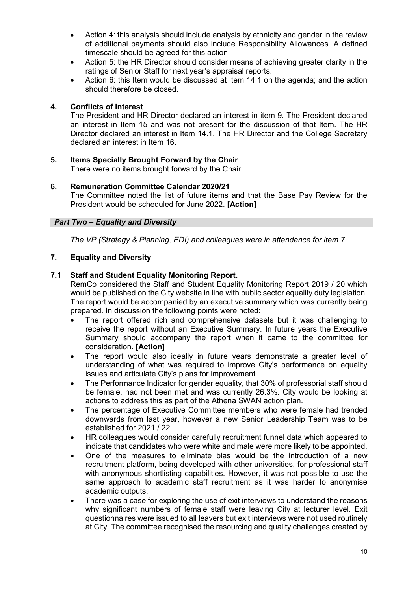- Action 4: this analysis should include analysis by ethnicity and gender in the review of additional payments should also include Responsibility Allowances. A defined timescale should be agreed for this action.
- Action 5: the HR Director should consider means of achieving greater clarity in the ratings of Senior Staff for next year's appraisal reports.
- Action 6: this Item would be discussed at Item 14.1 on the agenda; and the action should therefore be closed.

## **4. Conflicts of Interest**

The President and HR Director declared an interest in item 9. The President declared an interest in Item 15 and was not present for the discussion of that Item. The HR Director declared an interest in Item 14.1. The HR Director and the College Secretary declared an interest in Item 16.

#### **5. Items Specially Brought Forward by the Chair** There were no items brought forward by the Chair.

# **6. Remuneration Committee Calendar 2020/21**

The Committee noted the list of future items and that the Base Pay Review for the President would be scheduled for June 2022. **[Action]**

# *Part Two – Equality and Diversity*

*The VP (Strategy & Planning, EDI) and colleagues were in attendance for item 7.* 

# **7. Equality and Diversity**

# **7.1 Staff and Student Equality Monitoring Report.**

RemCo considered the Staff and Student Equality Monitoring Report 2019 / 20 which would be published on the City website in line with public sector equality duty legislation. The report would be accompanied by an executive summary which was currently being prepared. In discussion the following points were noted:

- The report offered rich and comprehensive datasets but it was challenging to receive the report without an Executive Summary. In future years the Executive Summary should accompany the report when it came to the committee for consideration. **[Action]**
- The report would also ideally in future years demonstrate a greater level of understanding of what was required to improve City's performance on equality issues and articulate City's plans for improvement.
- The Performance Indicator for gender equality, that 30% of professorial staff should be female, had not been met and was currently 26.3%. City would be looking at actions to address this as part of the Athena SWAN action plan.
- The percentage of Executive Committee members who were female had trended downwards from last year, however a new Senior Leadership Team was to be established for 2021 / 22.
- HR colleagues would consider carefully recruitment funnel data which appeared to indicate that candidates who were white and male were more likely to be appointed.
- One of the measures to eliminate bias would be the introduction of a new recruitment platform, being developed with other universities, for professional staff with anonymous shortlisting capabilities. However, it was not possible to use the same approach to academic staff recruitment as it was harder to anonymise academic outputs.
- There was a case for exploring the use of exit interviews to understand the reasons why significant numbers of female staff were leaving City at lecturer level. Exit questionnaires were issued to all leavers but exit interviews were not used routinely at City. The committee recognised the resourcing and quality challenges created by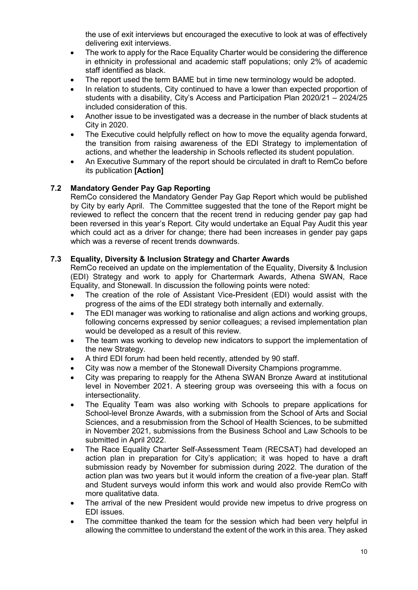the use of exit interviews but encouraged the executive to look at was of effectively delivering exit interviews.

- The work to apply for the Race Equality Charter would be considering the difference in ethnicity in professional and academic staff populations; only 2% of academic staff identified as black.
- The report used the term BAME but in time new terminology would be adopted.
- In relation to students, City continued to have a lower than expected proportion of students with a disability, City's Access and Participation Plan 2020/21 – 2024/25 included consideration of this.
- Another issue to be investigated was a decrease in the number of black students at City in 2020.
- The Executive could helpfully reflect on how to move the equality agenda forward, the transition from raising awareness of the EDI Strategy to implementation of actions, and whether the leadership in Schools reflected its student population.
- An Executive Summary of the report should be circulated in draft to RemCo before its publication **[Action]**

# **7.2 Mandatory Gender Pay Gap Reporting**

RemCo considered the Mandatory Gender Pay Gap Report which would be published by City by early April. The Committee suggested that the tone of the Report might be reviewed to reflect the concern that the recent trend in reducing gender pay gap had been reversed in this year's Report. City would undertake an Equal Pay Audit this year which could act as a driver for change; there had been increases in gender pay gaps which was a reverse of recent trends downwards.

## **7.3 Equality, Diversity & Inclusion Strategy and Charter Awards**

RemCo received an update on the implementation of the Equality, Diversity & Inclusion (EDI) Strategy and work to apply for Chartermark Awards, Athena SWAN, Race Equality, and Stonewall. In discussion the following points were noted:

- The creation of the role of Assistant Vice-President (EDI) would assist with the progress of the aims of the EDI strategy both internally and externally.
- The EDI manager was working to rationalise and align actions and working groups, following concerns expressed by senior colleagues; a revised implementation plan would be developed as a result of this review.
- The team was working to develop new indicators to support the implementation of the new Strategy.
- A third EDI forum had been held recently, attended by 90 staff.
- City was now a member of the Stonewall Diversity Champions programme.
- City was preparing to reapply for the Athena SWAN Bronze Award at institutional level in November 2021. A steering group was overseeing this with a focus on intersectionality.
- The Equality Team was also working with Schools to prepare applications for School-level Bronze Awards, with a submission from the School of Arts and Social Sciences, and a resubmission from the School of Health Sciences, to be submitted in November 2021, submissions from the Business School and Law Schools to be submitted in April 2022.
- The Race Equality Charter Self-Assessment Team (RECSAT) had developed an action plan in preparation for City's application; it was hoped to have a draft submission ready by November for submission during 2022. The duration of the action plan was two years but it would inform the creation of a five-year plan. Staff and Student surveys would inform this work and would also provide RemCo with more qualitative data.
- The arrival of the new President would provide new impetus to drive progress on EDI issues.
- The committee thanked the team for the session which had been very helpful in allowing the committee to understand the extent of the work in this area. They asked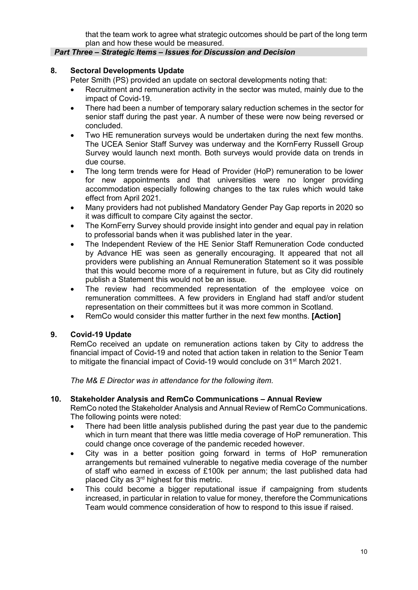that the team work to agree what strategic outcomes should be part of the long term plan and how these would be measured.

## *Part Three – Strategic Items – Issues for Discussion and Decision*

# **8. Sectoral Developments Update**

Peter Smith (PS) provided an update on sectoral developments noting that:

- Recruitment and remuneration activity in the sector was muted, mainly due to the impact of Covid-19.
- There had been a number of temporary salary reduction schemes in the sector for senior staff during the past year. A number of these were now being reversed or concluded.
- Two HE remuneration surveys would be undertaken during the next few months. The UCEA Senior Staff Survey was underway and the KornFerry Russell Group Survey would launch next month. Both surveys would provide data on trends in due course.
- The long term trends were for Head of Provider (HoP) remuneration to be lower for new appointments and that universities were no longer providing accommodation especially following changes to the tax rules which would take effect from April 2021.
- Many providers had not published Mandatory Gender Pay Gap reports in 2020 so it was difficult to compare City against the sector.
- The KornFerry Survey should provide insight into gender and equal pay in relation to professorial bands when it was published later in the year.
- The Independent Review of the HE Senior Staff Remuneration Code conducted by Advance HE was seen as generally encouraging. It appeared that not all providers were publishing an Annual Remuneration Statement so it was possible that this would become more of a requirement in future, but as City did routinely publish a Statement this would not be an issue.
- The review had recommended representation of the employee voice on remuneration committees. A few providers in England had staff and/or student representation on their committees but it was more common in Scotland.
- RemCo would consider this matter further in the next few months. **[Action]**

## **9. Covid-19 Update**

RemCo received an update on remuneration actions taken by City to address the financial impact of Covid-19 and noted that action taken in relation to the Senior Team to mitigate the financial impact of Covid-19 would conclude on 31<sup>st</sup> March 2021.

*The M& E Director was in attendance for the following item.* 

## **10. Stakeholder Analysis and RemCo Communications – Annual Review**

RemCo noted the Stakeholder Analysis and Annual Review of RemCo Communications. The following points were noted:

- There had been little analysis published during the past year due to the pandemic which in turn meant that there was little media coverage of HoP remuneration. This could change once coverage of the pandemic receded however.
- City was in a better position going forward in terms of HoP remuneration arrangements but remained vulnerable to negative media coverage of the number of staff who earned in excess of £100k per annum; the last published data had placed City as 3rd highest for this metric.
- This could become a bigger reputational issue if campaigning from students increased, in particular in relation to value for money, therefore the Communications Team would commence consideration of how to respond to this issue if raised.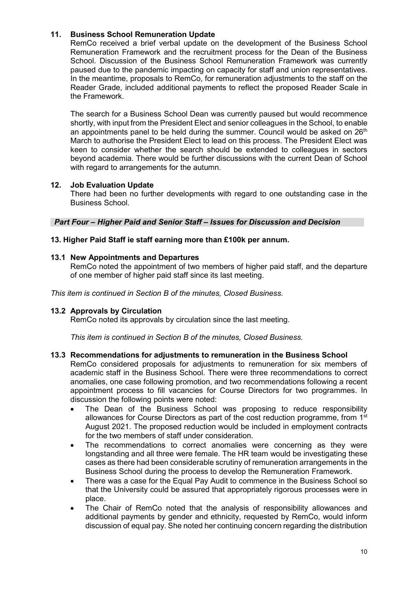# **11. Business School Remuneration Update**

RemCo received a brief verbal update on the development of the Business School Remuneration Framework and the recruitment process for the Dean of the Business School. Discussion of the Business School Remuneration Framework was currently paused due to the pandemic impacting on capacity for staff and union representatives. In the meantime, proposals to RemCo, for remuneration adjustments to the staff on the Reader Grade, included additional payments to reflect the proposed Reader Scale in the Framework.

The search for a Business School Dean was currently paused but would recommence shortly, with input from the President Elect and senior colleagues in the School, to enable an appointments panel to be held during the summer. Council would be asked on  $26<sup>th</sup>$ March to authorise the President Elect to lead on this process. The President Elect was keen to consider whether the search should be extended to colleagues in sectors beyond academia. There would be further discussions with the current Dean of School with regard to arrangements for the autumn.

## **12. Job Evaluation Update**

There had been no further developments with regard to one outstanding case in the Business School.

*Part Four – Higher Paid and Senior Staff – Issues for Discussion and Decision*

## **13. Higher Paid Staff ie staff earning more than £100k per annum.**

#### **13.1 New Appointments and Departures**

RemCo noted the appointment of two members of higher paid staff, and the departure of one member of higher paid staff since its last meeting.

*This item is continued in Section B of the minutes, Closed Business.*

## **13.2 Approvals by Circulation**

RemCo noted its approvals by circulation since the last meeting.

*This item is continued in Section B of the minutes, Closed Business.*

#### **13.3 Recommendations for adjustments to remuneration in the Business School**

RemCo considered proposals for adjustments to remuneration for six members of academic staff in the Business School. There were three recommendations to correct anomalies, one case following promotion, and two recommendations following a recent appointment process to fill vacancies for Course Directors for two programmes. In discussion the following points were noted:

- The Dean of the Business School was proposing to reduce responsibility allowances for Course Directors as part of the cost reduction programme, from 1<sup>st</sup> August 2021. The proposed reduction would be included in employment contracts for the two members of staff under consideration.
- The recommendations to correct anomalies were concerning as they were longstanding and all three were female. The HR team would be investigating these cases as there had been considerable scrutiny of remuneration arrangements in the Business School during the process to develop the Remuneration Framework.
- There was a case for the Equal Pay Audit to commence in the Business School so that the University could be assured that appropriately rigorous processes were in place.
- The Chair of RemCo noted that the analysis of responsibility allowances and additional payments by gender and ethnicity, requested by RemCo, would inform discussion of equal pay. She noted her continuing concern regarding the distribution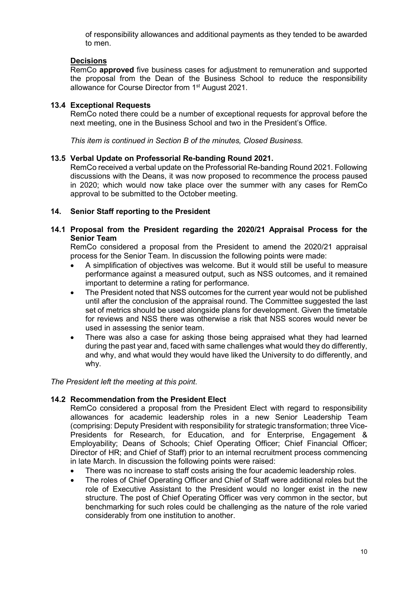of responsibility allowances and additional payments as they tended to be awarded to men.

# **Decisions**

RemCo **approved** five business cases for adjustment to remuneration and supported the proposal from the Dean of the Business School to reduce the responsibility allowance for Course Director from 1<sup>st</sup> August 2021.

#### **13.4 Exceptional Requests**

RemCo noted there could be a number of exceptional requests for approval before the next meeting, one in the Business School and two in the President's Office.

*This item is continued in Section B of the minutes, Closed Business.*

#### **13.5 Verbal Update on Professorial Re-banding Round 2021.**

RemCo received a verbal update on the Professorial Re-banding Round 2021. Following discussions with the Deans, it was now proposed to recommence the process paused in 2020; which would now take place over the summer with any cases for RemCo approval to be submitted to the October meeting.

#### **14. Senior Staff reporting to the President**

## **14.1 Proposal from the President regarding the 2020/21 Appraisal Process for the Senior Team**

RemCo considered a proposal from the President to amend the 2020/21 appraisal process for the Senior Team. In discussion the following points were made:

- A simplification of objectives was welcome. But it would still be useful to measure performance against a measured output, such as NSS outcomes, and it remained important to determine a rating for performance.
- The President noted that NSS outcomes for the current year would not be published until after the conclusion of the appraisal round. The Committee suggested the last set of metrics should be used alongside plans for development. Given the timetable for reviews and NSS there was otherwise a risk that NSS scores would never be used in assessing the senior team.
- There was also a case for asking those being appraised what they had learned during the past year and, faced with same challenges what would they do differently, and why, and what would they would have liked the University to do differently, and why.

#### *The President left the meeting at this point.*

## **14.2 Recommendation from the President Elect**

RemCo considered a proposal from the President Elect with regard to responsibility allowances for academic leadership roles in a new Senior Leadership Team (comprising: Deputy President with responsibility for strategic transformation; three Vice-Presidents for Research, for Education, and for Enterprise, Engagement & Employability; Deans of Schools; Chief Operating Officer; Chief Financial Officer; Director of HR; and Chief of Staff) prior to an internal recruitment process commencing in late March. In discussion the following points were raised:

- There was no increase to staff costs arising the four academic leadership roles.
- The roles of Chief Operating Officer and Chief of Staff were additional roles but the role of Executive Assistant to the President would no longer exist in the new structure. The post of Chief Operating Officer was very common in the sector, but benchmarking for such roles could be challenging as the nature of the role varied considerably from one institution to another.